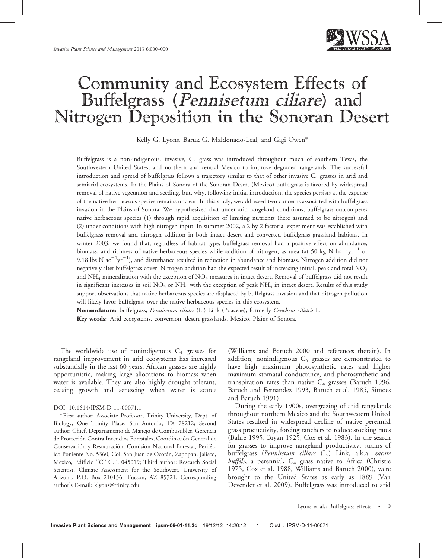

# Community and Ecosystem Effects of Buffelgrass (Pennisetum ciliare) and Nitrogen Deposition in the Sonoran Desert

Kelly G. Lyons, Baruk G. Maldonado-Leal, and Gigi Owen\*

Buffelgrass is a non-indigenous, invasive, C4 grass was introduced throughout much of southern Texas, the Southwestern United States, and northern and central Mexico to improve degraded rangelands. The successful introduction and spread of buffelgrass follows a trajectory similar to that of other invasive  $C_4$  grasses in arid and semiarid ecosystems. In the Plains of Sonora of the Sonoran Desert (Mexico) buffelgrass is favored by widespread removal of native vegetation and seeding, but, why, following initial introduction, the species persists at the expense of the native herbaceous species remains unclear. In this study, we addressed two concerns associated with buffelgrass invasion in the Plains of Sonora. We hypothesized that under arid rangeland conditions, buffelgrass outcompetes native herbaceous species (1) through rapid acquisition of limiting nutrients (here assumed to be nitrogen) and (2) under conditions with high nitrogen input. In summer 2002, a 2 by 2 factorial experiment was established with buffelgrass removal and nitrogen addition in both intact desert and converted buffelgrass grassland habitats. In winter 2003, we found that, regardless of habitat type, buffelgrass removal had a positive effect on abundance, biomass, and richness of native herbaceous species while addition of nitrogen, as urea (at 50 kg N ha $^{-1} \rm{yr}^{-1}$  or 9.18 lbs N ac $^{-1}$ yr $^{-1}$ ), and disturbance resulted in reduction in abundance and biomass. Nitrogen addition did not negatively alter buffelgrass cover. Nitrogen addition had the expected result of increasing initial, peak and total NO<sub>3</sub> and  $NH_4$  mineralization with the exception of  $NO_3$  measures in intact desert. Removal of buffelgrass did not result in significant increases in soil  $NO_3$  or  $NH_4$  with the exception of peak  $NH_4$  in intact desert. Results of this study support observations that native herbaceous species are displaced by buffelgrass invasion and that nitrogen pollution will likely favor buffelgrass over the native herbaceous species in this ecosystem.

Nomenclature: buffelgrass; Pennisetum ciliare (L.) Link (Poaceae); formerly Cenchrus ciliaris L. Key words: Arid ecosystems, conversion, desert grasslands, Mexico, Plains of Sonora.

The worldwide use of nonindigenous  $C_4$  grasses for rangeland improvement in arid ecosystems has increased substantially in the last 60 years. African grasses are highly opportunistic, making large allocations to biomass when water is available. They are also highly drought tolerant, ceasing growth and senescing when water is scarce

(Williams and Baruch 2000 and references therein). In addition, nonindigenous  $C_4$  grasses are demonstrated to have high maximum photosynthetic rates and higher maximum stomatal conductance, and photosynthetic and transpiration rates than native  $C_4$  grasses (Baruch 1996, Baruch and Fernandez 1993, Baruch et al. 1985, Simoes and Baruch 1991).

During the early 1900s, overgrazing of arid rangelands throughout northern Mexico and the Southwestern United States resulted in widespread decline of native perennial grass productivity, forcing ranchers to reduce stocking rates (Bahre 1995, Bryan 1925, Cox et al. 1983). In the search for grasses to improve rangeland productivity, strains of buffelgrass (Pennisetum ciliare (L.) Link, a.k.a. zacate buffel), a perennial,  $C_4$  grass native to Africa (Christie 1975, Cox et al. 1988, Williams and Baruch 2000), were brought to the United States as early as 1889 (Van Devender et al. 2009). Buffelgrass was introduced to arid

DOI: 10.1614/IPSM-D-11-00071.1

<sup>\*</sup> First author: Associate Professor, Trinity University, Dept. of Biology, One Trinity Place, San Antonio, TX 78212; Second author: Chief, Departamento de Manejo de Combustibles, Gerencia de Protección Contra Incendios Forestales, Coordinación General de Conservación y Restauración, Comisión Nacional Forestal, Periférico Poniente No. 5360, Col. San Juan de Ocotán, Zapopan, Jalisco, Mexico, Edificio "C" C.P. 045019; Third author: Research Social Scientist, Climate Assessment for the Southwest, University of Arizona, P.O. Box 210156, Tucson, AZ 85721. Corresponding author's E-mail: klyons@trinity.edu

Lyons et al.: Buffelgrass effects • 0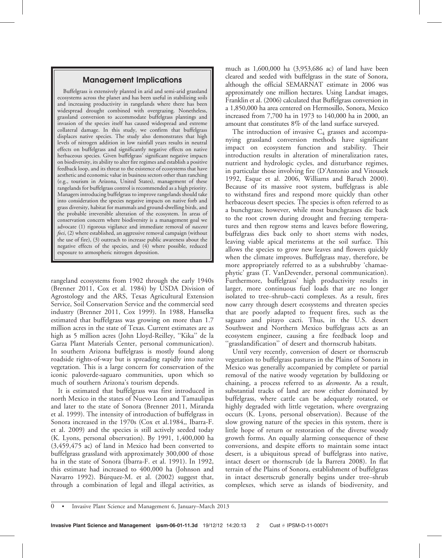## Management Implications

Buffelgrass is extensively planted in arid and semi-arid grassland ecosystems across the planet and has been useful in stabilizing soils and increasing productivity in rangelands where there has been widespread drought combined with overgrazing. Nonetheless, grassland conversion to accommodate buffelgrass plantings and invasion of the species itself has caused widespread and extreme collateral damage. In this study, we confirm that buffelgrass displaces native species. The study also demonstrates that high levels of nitrogen addition in low rainfall years results in neutral effects on buffelgrass and significantly negative effects on native herbaceous species. Given buffelgrass' significant negative impacts on biodiversity, its ability to alter fire regimes and establish a positive feedback loop, and its threat to the existence of ecosystems that have aesthetic and economic value in business sectors other than ranching (e.g., tourism in Arizona, United States), management of these rangelands for buffelgrass control is recommended as a high priority. Managers introducing buffelgrass to improve rangelands should take into consideration the species negative impacts on native forb and grass diversity, habitat for mammals and ground-dwelling birds, and the probable irreversible alteration of the ecosystem. In areas of conservation concern where biodiversity is a management goal we advocate (1) rigorous vigilance and immediate removal of *nascent* foci, (2) where established, an aggressive removal campaign (without the use of fire), (3) outreach to increase public awareness about the negative effects of the species, and (4) where possible, reduced exposure to atmospheric nitrogen deposition.

rangeland ecosystems from 1902 through the early 1940s (Brenner 2011, Cox et al. 1984) by USDA Division of Agrostology and the ARS, Texas Agricultural Extension Service, Soil Conservation Service and the commercial seed industry (Brenner 2011, Cox 1999). In 1988, Hanselka estimated that buffelgrass was growing on more than 1.7 million acres in the state of Texas. Current estimates are as high as 5 million acres (John Lloyd-Reilley, ''Kika'' de la Garza Plant Materials Center, personal communication). In southern Arizona buffelgrass is mostly found along roadside rights-of-way but is spreading rapidly into native vegetation. This is a large concern for conservation of the iconic paloverde-saguaro communities, upon which so much of southern Arizona's tourism depends.

It is estimated that buffelgrass was first introduced in north Mexico in the states of Nuevo Leon and Tamaulipas and later to the state of Sonora (Brenner 2011, Miranda et al. 1999). The intensity of introduction of buffelgrass in Sonora increased in the 1970s (Cox et al.1984,, Ibarra-F. et al. 2009) and the species is still actively seeded today (K. Lyons, personal observation). By 1991, 1,400,000 ha (3,459,475 ac) of land in Mexico had been converted to buffelgrass grassland with approximately 300,000 of those ha in the state of Sonora (Ibarra-F. et al. 1991). In 1992, this estimate had increased to 400,000 ha (Johnson and Navarro 1992). Búrquez-M. et al. (2002) suggest that, through a combination of legal and illegal activities, as

much as 1,600,000 ha (3,953,686 ac) of land have been cleared and seeded with buffelgrass in the state of Sonora, although the official SEMARNAT estimate in 2006 was approximately one million hectares. Using Landsat images, Franklin et al. (2006) calculated that Buffelgrass conversion in a 1,850,000 ha area centered on Hermosillo, Sonora, Mexico increased from 7,700 ha in 1973 to 140,000 ha in 2000, an amount that constitutes 8% of the land surface surveyed.

The introduction of invasive  $C_4$  grasses and accompanying grassland conversion methods have significant impact on ecosystem function and stability. Their introduction results in alteration of mineralization rates, nutrient and hydrologic cycles, and disturbance regimes, in particular those involving fire (D'Antonio and Vitousek 1992, Esque et al. 2006, Williams and Baruch 2000). Because of its massive root system, buffelgrass is able to withstand fires and respond more quickly than other herbaceous desert species. The species is often referred to as a bunchgrass; however, while most bunchgrasses die back to the root crown during drought and freezing temperatures and then regrow stems and leaves before flowering, buffelgrass dies back only to short stems with nodes, leaving viable apical meristems at the soil surface. This allows the species to grow new leaves and flowers quickly when the climate improves. Buffelgrass may, therefore, be more appropriately referred to as a subshrubby 'chamaephytic' grass (T. VanDevender, personal communication). Furthermore, buffelgrass' high productivity results in larger, more continuous fuel loads that are no longer isolated to tree–shrub–cacti complexes. As a result, fires now carry through desert ecosystems and threaten species that are poorly adapted to frequent fires, such as the saguaro and pitayo cacti. Thus, in the U.S. desert Southwest and Northern Mexico buffelgrass acts as an ecosystem engineer, causing a fire feedback loop and ''grasslandification'' of desert and thornscrub habitats.

Until very recently, conversion of desert or thornscrub vegetation to buffelgrass pastures in the Plains of Sonora in Mexico was generally accompanied by complete or partial removal of the native woody vegetation by bulldozing or chaining, a process referred to as desmonte. As a result, substantial tracks of land are now either dominated by buffelgrass, where cattle can be adequately rotated, or highly degraded with little vegetation, where overgrazing occurs (K. Lyons, personal observation). Because of the slow growing nature of the species in this system, there is little hope of return or restoration of the diverse woody growth forms. An equally alarming consequence of these conversions, and despite efforts to maintain some intact desert, is a ubiquitous spread of buffelgrass into native, intact desert or thornscrub (de la Barrera 2008). In flat terrain of the Plains of Sonora, establishment of buffelgrass in intact desertscrub generally begins under tree–shrub complexes, which serve as islands of biodiversity, and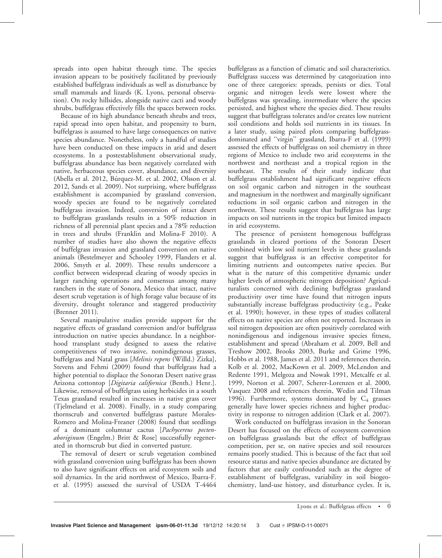spreads into open habitat through time. The species invasion appears to be positively facilitated by previously established buffelgrass individuals as well as disturbance by small mammals and lizards (K. Lyons, personal observation). On rocky hillsides, alongside native cacti and woody shrubs, buffelgrass effectively fills the spaces between rocks.

Because of its high abundance beneath shrubs and trees, rapid spread into open habitat, and propensity to burn, buffelgrass is assumed to have large consequences on native species abundance. Nonetheless, only a handful of studies have been conducted on these impacts in arid and desert ecosystems. In a postestablishment observational study, buffelgrass abundance has been negatively correlated with native, herbaceous species cover, abundance, and diversity (Abella et al. 2012, Búrquez-M. et al. 2002, Olsson et al. 2012, Sands et al. 2009). Not surprising, where buffelgrass establishment is accompanied by grassland conversion, woody species are found to be negatively correlated buffelgrass invasion. Indeed, conversion of intact desert to buffelgrass grasslands results in a 50% reduction in richness of all perennial plant species and a 78% reduction in trees and shrubs (Franklin and Molina-F 2010). A number of studies have also shown the negative effects of buffelgrass invasion and grassland conversion on native animals (Bestelmeyer and Schooley 1999, Flanders et al. 2006, Smyth et al. 2009). These results underscore a conflict between widespread clearing of woody species in larger ranching operations and consensus among many ranchers in the state of Sonora, Mexico that intact, native desert scrub vegetation is of high forage value because of its diversity, drought tolerance and staggered productivity (Brenner 2011).

Several manipulative studies provide support for the negative effects of grassland conversion and/or buffelgrass introduction on native species abundance. In a neighborhood transplant study designed to assess the relative competitiveness of two invasive, nonindigenous grasses, buffelgrass and Natal grass [Melinis repens (Willd.) Zizka], Stevens and Fehmi (2009) found that buffelgrass had a higher potential to displace the Sonoran Desert native grass Arizona cottontop [Digitaria californica (Benth.) Henr.]. Likewise, removal of buffelgrass using herbicides in a south Texas grassland resulted in increases in native grass cover (Tjelmeland et al. 2008). Finally, in a study comparing thornscrub and converted buffelgrass pasture Morales-Romero and Molina-Freaner (2008) found that seedlings of a dominant columnar cactus [Pachycereus pectenaboriginum (Engelm.) Britt & Rose] successfully regenerated in thornscrub but died in converted pasture.

The removal of desert or scrub vegetation combined with grassland conversion using buffelgrass has been shown to also have significant effects on arid ecosystem soils and soil dynamics. In the arid northwest of Mexico, Ibarra-F. et al. (1995) assessed the survival of USDA T-4464

buffelgrass as a function of climatic and soil characteristics. Buffelgrass success was determined by categorization into one of three categories: spreads, persists or dies. Total organic and nitrogen levels were lowest where the buffelgrass was spreading, intermediate where the species persisted, and highest where the species died. These results suggest that buffelgrass tolerates and/or creates low nutrient soil conditions and holds soil nutrients in its tissues. In a later study, using paired plots comparing buffelgrassdominated and ''virgin'' grassland, Ibarra-F et al. (1999) assessed the effects of buffelgrass on soil chemistry in three regions of Mexico to include two arid ecosystems in the northwest and northeast and a tropical region in the southeast. The results of their study indicate that buffelgrass establishment had significant negative effects on soil organic carbon and nitrogen in the southeast and magnesium in the northwest and marginally significant reductions in soil organic carbon and nitrogen in the northwest. These results suggest that buffelgrass has large impacts on soil nutrients in the tropics but limited impacts in arid ecosystems.

The presence of persistent homogenous buffelgrass grasslands in cleared portions of the Sonoran Desert combined with low soil nutrient levels in these grasslands suggest that buffelgrass is an effective competitor for limiting nutrients and outcompetes native species. But what is the nature of this competitive dynamic under higher levels of atmospheric nitrogen deposition? Agriculturalists concerned with declining buffelgrass grassland productivity over time have found that nitrogen inputs substantially increase buffelgrass productivity (e.g., Peake et al. 1990); however, in these types of studies collateral effects on native species are often not reported. Increases in soil nitrogen deposition are often positively correlated with nonindigenous and indigenous invasive species fitness, establishment and spread (Abraham et al. 2009, Bell and Treshow 2002, Brooks 2003, Burke and Grime 1996, Hobbs et al. 1988, James et al. 2011 and references therein, Kolb et al. 2002, MacKown et al. 2009, McLendon and Redente 1991, Melgoza and Nowak 1991, Metcalfe et al. 1999, Norton et al. 2007, Scherer-Lorenzen et al. 2000, Vasquez 2008 and references therein, Wedin and Tilman 1996). Furthermore, systems dominated by  $C_4$  grasses generally have lower species richness and higher productivity in response to nitrogen addition (Clark et al. 2007).

Work conducted on buffelgrass invasion in the Sonoran Desert has focused on the effects of ecosystem conversion on buffelgrass grasslands but the effect of buffelgrass competition, per se, on native species and soil resources remains poorly studied. This is because of the fact that soil resource status and native species abundance are dictated by factors that are easily confounded such as the degree of establishment of buffelgrass, variability in soil biogeochemistry, land-use history, and disturbance cycles. It is,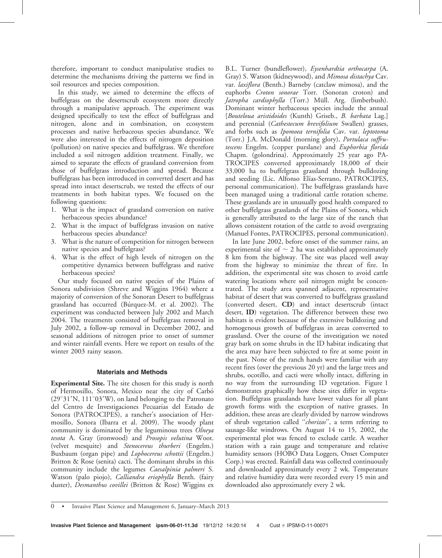therefore, important to conduct manipulative studies to determine the mechanisms driving the patterns we find in soil resources and species composition.

In this study, we aimed to determine the effects of buffelgrass on the desertscrub ecosystem more directly through a manipulative approach. The experiment was designed specifically to test the effect of buffelgrass and nitrogen, alone and in combination, on ecosystem processes and native herbaceous species abundance. We were also interested in the effects of nitrogen deposition (pollution) on native species and buffelgrass. We therefore included a soil nitrogen addition treatment. Finally, we aimed to separate the effects of grassland conversion from those of buffelgrass introduction and spread. Because buffelgrass has been introduced in converted desert and has spread into intact desertscrub, we tested the effects of our treatments in both habitat types. We focused on the following questions:

- 1. What is the impact of grassland conversion on native herbaceous species abundance?
- 2. What is the impact of buffelgrass invasion on native herbaceous species abundance?
- 3. What is the nature of competition for nitrogen between native species and buffelgrass?
- 4. What is the effect of high levels of nitrogen on the competitive dynamics between buffelgrass and native herbaceous species?

Our study focused on native species of the Plains of Sonora subdivision (Shreve and Wiggins 1964) where a majority of conversion of the Sonoran Desert to buffelgrass grassland has occurred (Bu´rquez-M. et al. 2002). The experiment was conducted between July 2002 and March 2004. The treatments consisted of buffelgrass removal in July 2002, a follow-up removal in December 2002, and seasonal additions of nitrogen prior to onset of summer and winter rainfall events. Here we report on results of the winter 2003 rainy season.

### Materials and Methods

Experimental Site. The site chosen for this study is north of Hermosillo, Sonora, Mexico near the city of Carbó  $(29°31'N, 111°03'W)$ , on land belonging to the Patronato del Centro de Investigaciones Pecuarias del Estado de Sonora (PATROCIPES), a rancher's association of Hermosillo, Sonora (Ibarra et al. 2009). The woody plant community is dominated by the leguminous trees Olneya tesota A. Gray (ironwood) and Prosopis velutina Woot. (velvet mesquite) and Stenocereus thurberi (Engelm.) Buxbaum (organ pipe) and Lophocereus schottii (Engelm.) Britton & Rose (senita) cacti. The dominant shrubs in this community include the legumes Caesalpinia palmeri S. Watson (palo piojo), Calliandra eriophylla Benth. (fairy duster), *Desmanthus covillei* (Britton & Rose) Wiggins ex

B.L. Turner (bundleflower), Eysenhardtia orthocarpa (A. Gray) S. Watson (kidneywood), and Mimosa distachya Cav. var. laxiflora (Benth.) Barneby (catclaw mimosa), and the euphorbs Croton sonorae Torr. (Sonoran croton) and Jatropha cardiophylla (Torr.) Müll. Arg. (limberbush). Dominant winter herbaceous species include the annual [Bouteloua aristidoides (Kunth) Griseb., B. barbata Lag.] and perennial (Cathestecum brevifolium Swallen) grasses, and forbs such as Ipomoea ternifolia Cav. var. leptotoma (Torr.) J.A. McDonald (morning glory), Portulaca suffrutescens Engelm. (copper purslane) and Euphorbia florida Chapm. (golondrina). Approximately 25 year ago PA-TROCIPES converted approximately 18,000 of their 33,000 ha to buffelgrass grassland through bulldozing and seeding (Lic. Alfonso Elías-Serrano, PATROCIPES, personal communication). The buffelgrass grasslands have been managed using a traditional cattle rotation scheme. These grasslands are in unusually good health compared to other buffelgrass grasslands of the Plains of Sonora, which is generally attributed to the large size of the ranch that allows consistent rotation of the cattle to avoid overgrazing (Manuel Fontes, PATROCIPES, personal communication).

In late June 2002, before onset of the summer rains, an experimental site of  $\sim$  2 ha was established approximately 8 km from the highway. The site was placed well away from the highway to minimize the threat of fire. In addition, the experimental site was chosen to avoid cattle watering locations where soil nitrogen might be concentrated. The study area spanned adjacent, representative habitat of desert that was converted to buffelgrass grassland (converted desert, CD) and intact desertscrub (intact desert, ID) vegetation. The difference between these two habitats is evident because of the extensive bulldozing and homogenous growth of buffelgrass in areas converted to grassland. Over the course of the investigation we noted gray bark on some shrubs in the ID habitat indicating that the area may have been subjected to fire at some point in the past. None of the ranch hands were familiar with any recent fires (over the previous 20 yr) and the large trees and shrubs, ocotillo, and cacti were wholly intact, differing in no way from the surrounding ID vegetation. Figure 1 demonstrates graphically how these sites differ in vegetation. Buffelgrass grasslands have lower values for all plant growth forms with the exception of native grasses. In addition, these areas are clearly divided by narrow windrows of shrub vegetation called "chorizos", a term referring to sausage-like windrows. On August 14 to 15, 2002, the experimental plot was fenced to exclude cattle. A weather station with a rain gauge and temperature and relative humidity sensors (HOBO Data Loggers, Onset Computer Corp.) was erected. Rainfall data was collected continuously and downloaded approximately every 2 wk. Temperature and relative humidity data were recorded every 15 min and downloaded also approximately every 2 wk.

0 • Invasive Plant Science and Management 6, January–March 2013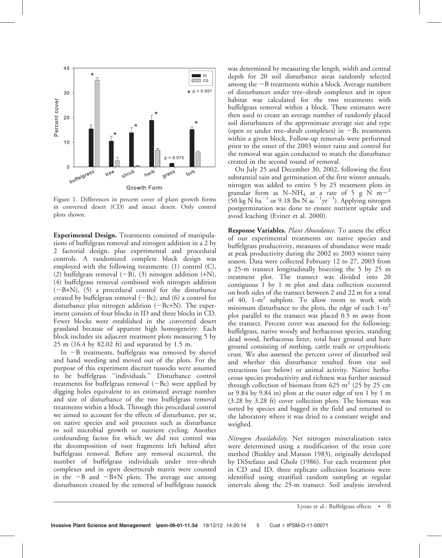

Figure 1. Differences in percent cover of plant growth forms in converted desert (CD) and intact desert. Only control plots shown.

Experimental Design. Treatments consisted of manipulations of buffelgrass removal and nitrogen addition in a 2 by 2 factorial design, plus experimental and procedural controls. A randomized complete block design was employed with the following treatments: (1) control (C), (2) buffelgrass removal  $(-B)$ , (3) nitrogen addition  $(+N)$ , (4) buffelgrass removal combined with nitrogen addition  $(-B+N)$ , (5) a procedural control for the disturbance created by buffelgrass removal  $(-Bc)$ , and  $(6)$  a control for disturbance plus nitrogen addition  $(-Bc+N)$ . The experiment consists of four blocks in ID and three blocks in CD. Fewer blocks were established in the converted desert grassland because of apparent high homogeneity. Each block includes six adjacent treatment plots measuring 5 by 25 m (16.4 by 82.02 ft) and separated by 1.5 m.

In  $-B$  treatments, buffelgrass was removed by shovel and hand weeding and moved out of the plots. For the purpose of this experiment discreet tussocks were assumed to be buffelgrass ''individuals.'' Disturbance control treatments for buffelgrass removal  $(-Bc)$  were applied by digging holes equivalent to an estimated average number and size of disturbance of the two buffelgrass removal treatments within a block. Through this procedural control we aimed to account for the effects of disturbance, per se, on native species and soil processes such as disturbance to soil microbial growth or nutrient cycling. Another confounding factor for which we did not control was the decomposition of root fragments left behind after buffelgrass removal. Before any removal occurred, the number of buffelgrass individuals under tree–shrub complexes and in open desertscrub matrix were counted in the  $-B$  and  $-B+N$  plots. The average size among disturbances created by the removal of buffelgrass tussock

was determined by measuring the length, width and central depth for 20 soil disturbance areas randomly selected among the  $-B$  treatments within a block. Average numbers of disturbances under tree–shrub complexes and in open habitat was calculated for the two treatments with buffelgrass removal within a block. These estimates were then used to create an average number of randomly placed soil disturbances of the approximate average size and type (open or under tree–shrub complexes) in  $-Bc$  treatments within a given block. Follow-up removals were performed prior to the onset of the 2003 winter rains and control for the removal was again conducted to match the disturbance created in the second round of removal.

On July 25 and December 30, 2002, following the first substantial rain and germination of the first winter annuals, nitrogen was added to entire 5 by 25 treatment plots in granular form as N–NH<sub>4</sub> at a rate of 5 g N m<sup>-2</sup>  $(50 \text{ kg N ha}^{-1} \text{ or } 9.18 \text{ lbs N ac}^{-1} \text{yr}^{-1})$ . Applying nitrogen postgermination was done to ensure nutrient uptake and avoid leaching (Eviner et al. 2000).

Response Variables. Plant Abundance. To assess the effect of our experimental treatments on native species and buffelgrass productivity, measures of abundance were made at peak productivity during the 2002 to 2003 winter rainy season. Data were collected February 12 to 27, 2003 from a 25-m transect longitudinally bisecting the 5 by 25 m treatment plot. The transect was divided into 20 contiguous 1 by 1 m plot and data collection occurred on both sides of the transect between 2 and 22 m for a total of 40, 1-m<sup>2</sup> subplots. To allow room to work with minimum disturbance to the plots, the edge of each  $1-m^2$ plot parallel to the transect was placed 0.5 m away from the transect. Percent cover was assessed for the following: buffelgrass, native woody and herbaceous species, standing dead wood, herbaceous litter, total bare ground and bare ground consisting of nothing, cattle trails or cryptobiotic crust. We also assessed the percent cover of disturbed soil and whether this disturbance resulted from our soil extractions (see below) or animal activity. Native herbaceous species productivity and richness was further assessed through collection of biomass from 625  $m<sup>2</sup>$  (25 by 25 cm or 9.84 by 9.84 in) plots at the outer edge of ten 1 by 1 m (3.28 by 3.28 ft) cover collection plots. The biomass was sorted by species and bagged in the field and returned to the laboratory where it was dried to a constant weight and weighed.

Nitrogen Availability. Net nitrogen mineralization rates were determined using a modification of the resin core method (Binkley and Matson 1983), originally developed by DiStefano and Gholz (1986). For each treatment plot in CD and ID, three replicate collection locations were identified using stratified random sampling at regular intervals along the 25-m transect. Soil analysis involved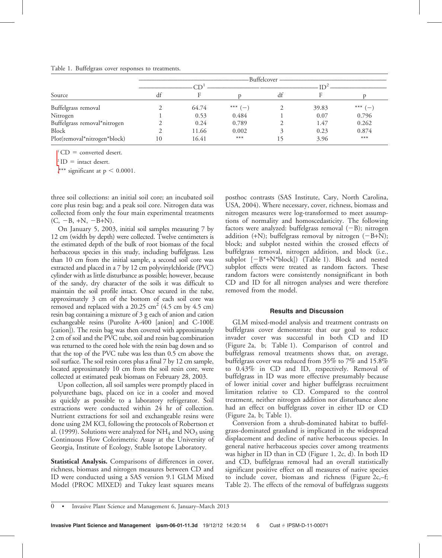#### Table 1. Buffelgrass cover responses to treatments.

|                              |    |       |           | Buffelcover- |       |         |
|------------------------------|----|-------|-----------|--------------|-------|---------|
|                              |    |       |           |              |       |         |
| Source                       | df |       |           | df           |       |         |
| Buffelgrass removal          |    | 64.74 | *** $(-)$ |              | 39.83 | *** $($ |
| Nitrogen                     |    | 0.53  | 0.484     |              | 0.07  | 0.796   |
| Buffelgrass removal*nitrogen |    | 0.24  | 0.789     |              | 1.47  | 0.262   |
| Block                        |    | 11.66 | 0.002     |              | 0.23  | 0.874   |
| Plot(removal*nitrogen*block) | 10 | 16.41 | $***$     |              | 3.96  | $***$   |

 $\Gamma$ <sup>1</sup> CD = converted desert.

 $2$  ID = intact desert.

\*\*\* significant at  $p < 0.0001$ .

three soil collections: an initial soil core; an incubated soil core plus resin bag; and a peak soil core. Nitrogen data was collected from only the four main experimental treatments  $(C, -B, +N, -B+N)$ .

On January 5, 2003, initial soil samples measuring 7 by 12 cm (width by depth) were collected. Twelve centimeters is the estimated depth of the bulk of root biomass of the focal herbaceous species in this study, including buffelgrass. Less than 10 cm from the initial sample, a second soil core was extracted and placed in a 7 by 12 cm polyvinylchloride (PVC) cylinder with as little disturbance as possible; however, because of the sandy, dry character of the soils it was difficult to maintain the soil profile intact. Once secured in the tube, approximately 3 cm of the bottom of each soil core was removed and replaced with a  $20.25 \text{ cm}^2$  (4.5 cm by 4.5 cm) resin bag containing a mixture of 3 g each of anion and cation exchangeable resins (Purolite A-400 [anion] and C-100E [cation]). The resin bag was then covered with approximately 2 cm of soil and the PVC tube, soil and resin bag combination was returned to the cored hole with the resin bag down and so that the top of the PVC tube was less than 0.5 cm above the soil surface. The soil resin cores plus a final 7 by 12 cm sample, located approximately 10 cm from the soil resin core, were collected at estimated peak biomass on February 28, 2003.

Upon collection, all soil samples were promptly placed in polyurethane bags, placed on ice in a cooler and moved as quickly as possible to a laboratory refrigerator. Soil extractions were conducted within 24 hr of collection. Nutrient extractions for soil and exchangeable resins were done using 2M KCl, following the protocols of Robertson et al. (1999). Solutions were analyzed for  $NH_4$  and  $NO_3$  using Continuous Flow Colorimetric Assay at the University of Georgia, Institute of Ecology, Stable Isotope Laboratory.

Statistical Analysis. Comparisons of differences in cover, richness, biomass and nitrogen measures between CD and ID were conducted using a SAS version 9.1 GLM Mixed Model (PROC MIXED) and Tukey least squares means

posthoc contrasts (SAS Institute, Cary, North Carolina, USA, 2004). Where necessary, cover, richness, biomass and nitrogen measures were log-transformed to meet assumptions of normality and homoscedasticity. The following factors were analyzed: buffelgrass removal  $(-B)$ ; nitrogen addition (+N); buffelgrass removal by nitrogen  $(-B+N)$ ; block; and subplot nested within the crossed effects of buffelgrass removal, nitrogen addition, and block (i.e., subplot  $[-B^*+N^*block])$  (Table 1). Block and nested subplot effects were treated as random factors. These random factors were consistently nonsignificant in both CD and ID for all nitrogen analyses and were therefore removed from the model.

#### Results and Discussion

GLM mixed-model analysis and treatment contrasts on buffelgrass cover demonstrate that our goal to reduce invader cover was successful in both CD and ID (Figure 2a, b; Table 1). Comparison of control and buffelgrass removal treatments shows that, on average, buffelgrass cover was reduced from 35% to 7% and 15.8% to 0.43% in CD and ID, respectively. Removal of buffelgrass in ID was more effective presumably because of lower initial cover and higher buffelgrass recruitment limitation relative to CD. Compared to the control treatment, neither nitrogen addition nor disturbance alone had an effect on buffelgrass cover in either ID or CD (Figure 2a, b; Table 1).

Conversion from a shrub-dominated habitat to buffelgrass-dominated grassland is implicated in the widespread displacement and decline of native herbaceous species. In general native herbaceous species cover among treatments was higher in ID than in CD (Figure 1, 2c, d). In both ID and CD, buffelgrass removal had an overall statistically significant positive effect on all measures of native species to include cover, biomass and richness (Figure 2c,–f; Table 2). The effects of the removal of buffelgrass suggests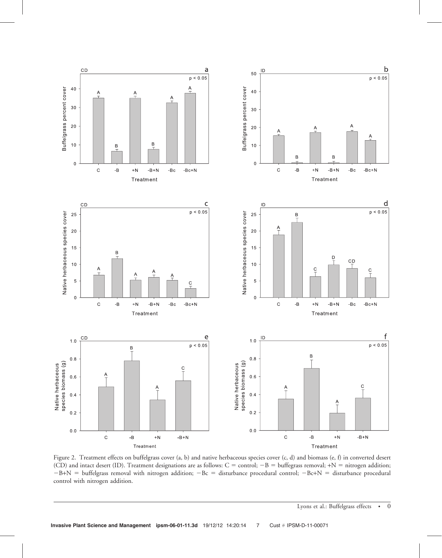

Figure 2. Treatment effects on buffelgrass cover (a, b) and native herbaceous species cover (c, d) and biomass (e, f) in converted desert (CD) and intact desert (ID). Treatment designations are as follows:  $C =$  control;  $-B =$  buffegrass removal; +N = nitrogen addition;  $-B+N =$  buffelgrass removal with nitrogen addition;  $-Bc =$  disturbance procedural control;  $-Bc+N =$  disturbance procedural control with nitrogen addition.

Lyons et al.: Buffelgrass effects • 0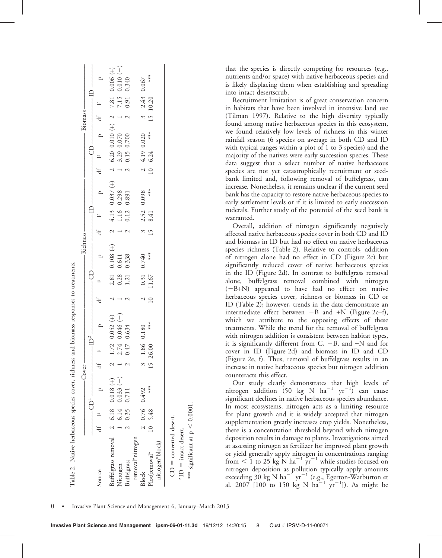|           | $\Box$<br>щ       | $\begin{array}{c} 0.006 \\ 0.010 \\ 0.340 \end{array}$<br>$7.81$<br>$7.15$<br>0.91 | $0.067\,$<br>$2.43$<br>10.20                                         | is likely displacing them when estab<br>into intact desertscrub.<br>Recruitment limitation is of great<br>in habitats that have been involved                                                                                                                                                                                         |
|-----------|-------------------|------------------------------------------------------------------------------------|----------------------------------------------------------------------|---------------------------------------------------------------------------------------------------------------------------------------------------------------------------------------------------------------------------------------------------------------------------------------------------------------------------------------|
| Biomass   | $\overline{d}$    | $\begin{array}{c} \n 2 & - & 2 \n \end{array}$                                     | $\frac{3}{1}$                                                        | (Tilman 1997). Relative to the high                                                                                                                                                                                                                                                                                                   |
|           | $\mathbf{p}$      | $\widehat{\pm}$<br>$\begin{array}{c} 0.010 \\ 0.070 \\ 0.700 \end{array}$          | $4.19$ 0.020<br>6.24                                                 | found among native herbaceous spec<br>we found relatively low levels of ri<br>rainfall season (6 species on average                                                                                                                                                                                                                   |
|           | 8<br>щ            | 6.20<br>3.29<br>0.15                                                               |                                                                      | with typical ranges within a plot of 1<br>majority of the natives were early suc                                                                                                                                                                                                                                                      |
|           | $\ddot{t}$        | $\sim -1$                                                                          | $\frac{2}{10}$                                                       | data suggest that a select number<br>species are not yet catastrophically                                                                                                                                                                                                                                                             |
|           | $\mathbf{p}$      | $\widehat{\pm}$<br>$\begin{array}{c} 0.037 \\ 0.298 \\ 0.891 \end{array}$          | $0.098$<br>***                                                       | bank limited and, following remov<br>increase. Nonetheless, it remains uncl<br>bank has the capacity to restore native                                                                                                                                                                                                                |
|           | Ë                 |                                                                                    |                                                                      | early settlement levels or if it is limit<br>ruderals. Further study of the potent                                                                                                                                                                                                                                                    |
|           | щ                 | $\begin{array}{c} 1.16 \\ 0.12 \end{array}$<br>4.13                                | $2.52$<br>8.41                                                       | warranted.                                                                                                                                                                                                                                                                                                                            |
|           | $\overline{d}$    | $21 - 2$                                                                           | $\frac{3}{5}$                                                        | Overall, addition of nitrogen si<br>affected native herbaceous species cov                                                                                                                                                                                                                                                            |
| Richness- | $\mathbf{p}$      | E<br>$\begin{array}{c} 0.108 \\ 0.611 \\ 0.338 \end{array}$                        | 0.740                                                                | and biomass in ID but had no effect<br>species richness (Table 2). Relative<br>of nitrogen alone had no effect in<br>significantly reduced cover of nativ                                                                                                                                                                             |
|           | 8<br>щ            | $\begin{array}{c} 2.81 \\ 0.28 \\ 1.21 \end{array}$                                | $0.31$<br>1.67                                                       | in the ID (Figure 2d). In contrast t<br>alone, buffelgrass removal comb<br>(-B+N) appeared to have had                                                                                                                                                                                                                                |
|           | Æ                 | $\alpha$ $ \alpha$                                                                 | $\frac{2}{10}$                                                       | herbaceous species cover, richness o<br>ID (Table 2); however, trends in the                                                                                                                                                                                                                                                          |
|           | $\mathbf{p}$      | $0.052 (+)$<br>$0.046 (-)$<br>$0.634$                                              | $0.180$ ***                                                          | intermediate effect between $-B$ and<br>which we attribute to the oppos<br>treatments. While the trend for the<br>with nitrogen addition is consistent l                                                                                                                                                                              |
|           | $-\mathbb{ID}^2$  | 747<br>$\sim$ 0                                                                    | $\frac{86}{98}$                                                      | it is significantly different from C,<br>cover in ID (Figure 2d) and bion                                                                                                                                                                                                                                                             |
| Cover     | $\ddot{d}$        |                                                                                    |                                                                      | (Figure 2e, f). Thus, removal of bu<br>increase in native herbaceous species                                                                                                                                                                                                                                                          |
|           | $\mathbf{p}$<br>Ē | $\mathfrak{t}$<br>0.018<br>$\frac{0.033}{0.711}$                                   | $***$<br>0.492                                                       | counteracts this effect.<br>Our study clearly demonstrates<br>nitrogen addition (50 kg N ha<br>significant declines in native herbaced                                                                                                                                                                                                |
|           | щ                 | 6.18<br>6.14<br>0.35                                                               | 0.76<br>5.48                                                         | In most ecosystems, nitrogen acts a<br>for plant growth and it is widely a                                                                                                                                                                                                                                                            |
|           | $\ddot{d}$        | $\mathcal{L}$                                                                      | 10                                                                   | supplementation greatly increases cro<br>there is a concentration threshold be                                                                                                                                                                                                                                                        |
|           | Source            | Buffelgrass removal<br><b>Buffelgrass</b><br>Nitrogen                              | removal*nitrogen<br>nitrogen*block)<br>Plot(removal*<br><b>Block</b> | deposition results in damage to plants<br>at assessing nitrogen as fertilizer for in<br>or yield generally apply nitrogen in c<br>from $\leq 1$ to 25 kg N ha <sup>-1</sup> yr <sup>-1</sup> wh<br>nitrogen deposition as pollution typ<br>exceeding 30 kg N $ha^{-1} yr^{-1}$ (e.g., I<br>al. 2007 [100 to 150 kg N ha <sup>-1</sup> |

that the species is directly competing for resources (e.g., nutrients and/or space) with native herbaceous species and is likely displacing them when establishing and spreading into intact desertscrub.

Recruitment limitation is of great conservation concern in habitats that have been involved in intensive land use (Tilman 1997). Relative to the high diversity typically found among native herbaceous species in this ecosystem, we found relatively low levels of richness in this winter rainfall season (6 species on average in both CD and ID with typical ranges within a plot of 1 to 3 species) and the majority of the natives were early succession species. These data suggest that a select number of native herbaceous species are not yet catastrophically recruitment or seedbank limited and, following removal of buffelgrass, can increase. Nonetheless, it remains unclear if the current seed bank has the capacity to restore native herbaceous species to early settlement levels or if it is limited to early succession ruderals. Further study of the potential of the seed bank is warranted.

Overall, addition of nitrogen significantly negatively affected native herbaceous species cover in both CD and ID and biomass in ID but had no effect on native herbaceous species richness (Table 2). Relative to controls, addition of nitrogen alone had no effect in CD (Figure 2c) but significantly reduced cover of native herbaceous species in the ID (Figure 2d). In contrast to buffelgrass removal alone, buffelgrass removal combined with nitrogen (2B+N) appeared to have had no effect on native herbaceous species cover, richness or biomass in CD or ID (Table 2); however, trends in the data demonstrate an intermediate effect between  $-B$  and  $+N$  (Figure 2c–f), which we attribute to the opposing effects of these treatments. While the trend for the removal of buffelgrass with nitrogen addition is consistent between habitat types, it is significantly different from  $C$ ,  $-B$ , and  $+N$  and for cover in ID (Figure 2d) and biomass in ID and CD (Figure 2e, f). Thus, removal of buffelgrass results in an increase in native herbaceous species but nitrogen addition counteracts this effect.

Our study clearly demonstrates that high levels of nitrogen addition (50 kg N  $ha^{-1}$  yr<sup>-1</sup>) can cause significant declines in native herbaceous species abundance. In most ecosystems, nitrogen acts as a limiting resource for plant growth and it is widely accepted that nitrogen supplementation greatly increases crop yields. Nonetheless, there is a concentration threshold beyond which nitrogen deposition results in damage to plants. Investigations aimed at assessing nitrogen as fertilizer for improved plant growth or yield generally apply nitrogen in concentrations ranging from  $<$  1 to 25 kg N ha<sup>-1</sup> yr<sup>-1</sup> while studies focused on nitrogen deposition as pollution typically apply amounts exceeding 30 kg N ha<sup>-1</sup> yr<sup>-1</sup> (e.g., Egerton-Warburton et al. 2007 [100 to 150 kg N ha<sup>-1</sup> yr<sup>-1</sup>]). As might be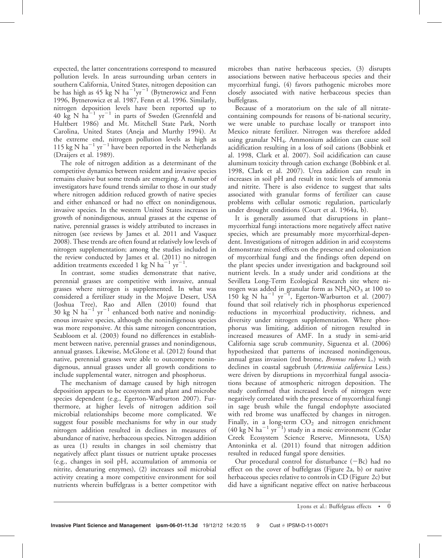expected, the latter concentrations correspond to measured pollution levels. In areas surrounding urban centers in southern California, United States, nitrogen deposition can be has high as 45 kg N  $ha^{-1}yr^{-1}$  (Bytnerowicz and Fenn 1996, Bytnerowicz et al. 1987, Fenn et al. 1996. Similarly, nitrogen deposition levels have been reported up to 40  $\text{kg}$  N  $\text{ha}^{-1}$  yr<sup>-1</sup> in parts of Sweden (Grennfeld and Hultbert 1986) and Mt. Mitchell State Park, North Carolina, United States (Aneja and Murthy 1994). At the extreme end, nitrogen pollution levels as high as 115 kg N ha<sup>-1</sup> yr<sup>-1</sup> have been reported in the Netherlands (Draijers et al. 1989).

The role of nitrogen addition as a determinant of the competitive dynamics between resident and invasive species remains elusive but some trends are emerging. A number of investigators have found trends similar to those in our study where nitrogen addition reduced growth of native species and either enhanced or had no effect on nonindigenous, invasive species. In the western United States increases in growth of nonindigenous, annual grasses at the expense of native, perennial grasses is widely attributed to increases in nitrogen (see reviews by James et al. 2011 and Vasquez 2008). These trends are often found at relatively low levels of nitrogen supplementation; among the studies included in the review conducted by James et al. (2011) no nitrogen addition treatments exceeded 1 kg N  $ha^{-1}$  yr<sup>-1</sup>.

In contrast, some studies demonstrate that native, perennial grasses are competitive with invasive, annual grasses where nitrogen is supplemented. In what was considered a fertilizer study in the Mojave Desert, USA (Joshua Tree), Rao and Allen (2010) found that  $30 \text{ kg N} \text{ ha}^{-1} \text{ yr}^{-1}$  enhanced both native and nonindigenous invasive species, although the nonindigenous species was more responsive. At this same nitrogen concentration, Seabloom et al. (2003) found no differences in establishment between native, perennial grasses and nonindigenous, annual grasses. Likewise, McGlone et al. (2012) found that native, perennial grasses were able to outcompete nonindigenous, annual grasses under all growth conditions to include supplemental water, nitrogen and phosphorus.

The mechanism of damage caused by high nitrogen deposition appears to be ecosystem and plant and microbe species dependent (e.g., Egerton-Warburton 2007). Furthermore, at higher levels of nitrogen addition soil microbial relationships become more complicated. We suggest four possible mechanisms for why in our study nitrogen addition resulted in declines in measures of abundance of native, herbaceous species. Nitrogen addition as urea (1) results in changes in soil chemistry that negatively affect plant tissues or nutrient uptake processes (e.g., changes in soil pH, accumulation of ammonia or nitrite, denaturing enzymes), (2) increases soil microbial activity creating a more competitive environment for soil nutrients wherein buffelgrass is a better competitor with

microbes than native herbaceous species, (3) disrupts associations between native herbaceous species and their mycorrhizal fungi, (4) favors pathogenic microbes more closely associated with native herbaceous species than buffelgrass.

Because of a moratorium on the sale of all nitratecontaining compounds for reasons of bi-national security, we were unable to purchase locally or transport into Mexico nitrate fertilizer. Nitrogen was therefore added using granular  $NH<sub>4</sub>$ . Ammonium addition can cause soil acidification resulting in a loss of soil cations (Bobbink et al. 1998, Clark et al. 2007). Soil acidification can cause aluminum toxicity through cation exchange (Bobbink et al. 1998, Clark et al. 2007). Urea addition can result in increases in soil pH and result in toxic levels of ammonia and nitrite. There is also evidence to suggest that salts associated with granular forms of fertilizer can cause problems with cellular osmotic regulation, particularly under drought conditions (Court et al. 1964a, b).

It is generally assumed that disruptions in plant– mycorrhizal fungi interactions more negatively affect native species, which are presumably more mycorrhizal-dependent. Investigations of nitrogen addition in arid ecosystems demonstrate mixed effects on the presence and colonization of mycorrhizal fungi and the findings often depend on the plant species under investigation and background soil nutrient levels. In a study under arid conditions at the Sevilleta Long-Term Ecological Research site where nitrogen was added in granular form as  $NH<sub>4</sub>NO<sub>3</sub>$  at 100 to  $150 \text{ kg}$  N ha<sup>-1</sup> yr<sup>-1</sup>, Egerton-Warburton et al. (2007) found that soil relatively rich in phosphorus experienced reductions in mycorrhizal productivity, richness, and diversity under nitrogen supplementation. Where phosphorus was limiting, addition of nitrogen resulted in increased measures of AMF. In a study in semi-arid California sage scrub community, Siguenza et al. (2006) hypothesized that patterns of increased nonindigenous, annual grass invasion (red brome, Bromus rubens L.) with declines in coastal sagebrush (Artemisia californica Less.) were driven by disruptions in mycorrhizal fungal associations because of atmospheric nitrogen deposition. The study confirmed that increased levels of nitrogen were negatively correlated with the presence of mycorrhizal fungi in sage brush while the fungal endophyte associated with red brome was unaffected by changes in nitrogen. Finally, in a long-term  $CO<sub>2</sub>$  and nitrogen enrichment  $(40 \text{ kg N ha}^{-1} \text{ yr}^{-1})$  study in a mesic environment (Cedar Creek Ecosystem Science Reserve, Minnesota, USA) Antoninka et al. (2011) found that nitrogen addition resulted in reduced fungal spore densities.

Our procedural control for disturbance  $(-Bc)$  had no effect on the cover of buffelgrass (Figure 2a, b) or native herbaceous species relative to controls in CD (Figure 2c) but did have a significant negative effect on native herbaceous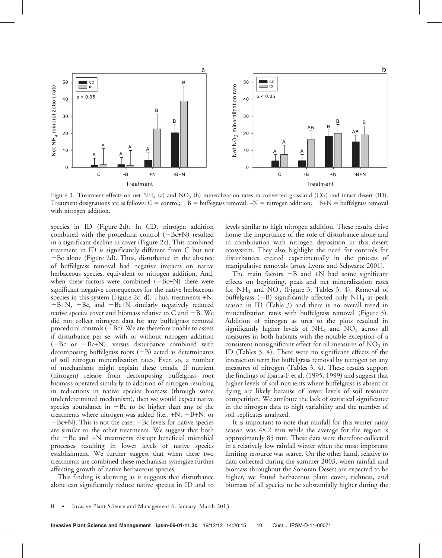

Figure 3. Treatment effects on net  $NH_4$  (a) and  $NO_3$  (b) mineralization rates in converted grassland (CG) and intact desert (ID). Treatment designations are as follows:  $C =$  control;  $-B =$  buffegrass removal;  $+N =$  nitrogen addition;  $-B+N =$  buffelgrass removal with nitrogen addition.

species in ID (Figure 2d). In CD, nitrogen addition combined with the procedural control  $(-Bc+N)$  resulted in a significant decline in cover (Figure 2c). This combined treatment in ID is significantly different from C but not  $-Bc$  alone (Figure 2d). Thus, disturbance in the absence of buffelgrass removal had negative impacts on native herbaceous species, equivalent to nitrogen addition. And, when these factors were combined  $(-Bc+N)$  there were significant negative consequences for the native herbaceous species in this system (Figure 2c, d). Thus, treatments +N,  $-B+N$ ,  $-Bc$ , and  $-Bc+N$  similarly negatively reduced native species cover and biomass relative to C and  $-B$ . We did not collect nitrogen data for any buffelgrass removal procedural controls  $(-Bc)$ . We are therefore unable to assess if disturbance per se, with or without nitrogen addition  $(-Bc \text{ or } -Bc+N)$ , versus disturbance combined with decomposing buffelgrass roots  $(-B)$  acted as determinants of soil nitrogen mineralization rates. Even so, a number of mechanisms might explain these trends. If nutrient (nitrogen) release from decomposing buffelgrass root biomass operated similarly to addition of nitrogen resulting in reductions in native species biomass (through some underdetermined mechanism), then we would expect native species abundance in  $-Bc$  to be higher than any of the treatments where nitrogen was added (i.e.,  $+N$ ,  $-B+N$ , or  $-Bc+N$ ). This is not the case;  $-Bc$  levels for native species are similar to the other treatments. We suggest that both the  $-$ Bc and  $+$ N treatments disrupt beneficial microbial processes resulting in lower levels of native species establishment. We further suggest that when these two treatments are combined these mechanism synergize further affecting growth of native herbaceous species.

This finding is alarming as it suggests that disturbance alone can significantly reduce native species in ID and to levels similar to high nitrogen addition. These results drive home the importance of the role of disturbance alone and in combination with nitrogen deposition in this desert ecosystem. They also highlight the need for controls for disturbances created experimentally in the process of manipulative removals (sensu Lyons and Schwartz 2001).

The main factors  $-B$  and  $+N$  had some significant effects on beginning, peak and net mineralization rates for  $NH_4$  and  $NO_3$  (Figure 3; Tables 3, 4). Removal of buffelgrass  $(-B)$  significantly affected only NH<sub>4</sub> at peak season in ID (Table 3) and there is no overall trend in mineralization rates with buffelgrass removal (Figure 3). Addition of nitrogen as urea to the plots resulted in significantly higher levels of  $NH<sub>4</sub>$  and  $NO<sub>3</sub>$  across all measures in both habitats with the notable exception of a consistent nonsignificant effect for all measures of  $NO<sub>3</sub>$  in ID (Tables 3, 4). There were no significant effects of the interaction term for buffelgrass removal by nitrogen on any measures of nitrogen (Tables 3, 4). These results support the findings of Ibarra-F et al. (1995, 1999) and suggest that higher levels of soil nutrients where buffelgrass is absent or dying are likely because of lower levels of soil resource competition. We attribute the lack of statistical significance in the nitrogen data to high variability and the number of soil replicates analyzed.

It is important to note that rainfall for this winter rainy season was 48.2 mm while the average for the region is approximately 85 mm. These data were therefore collected in a relatively low rainfall winter when the most important limiting resource was scarce. On the other hand, relative to data collected during the summer 2003, when rainfall and biomass throughout the Sonoran Desert are expected to be higher, we found herbaceous plant cover, richness, and biomass of all species to be substantially higher during the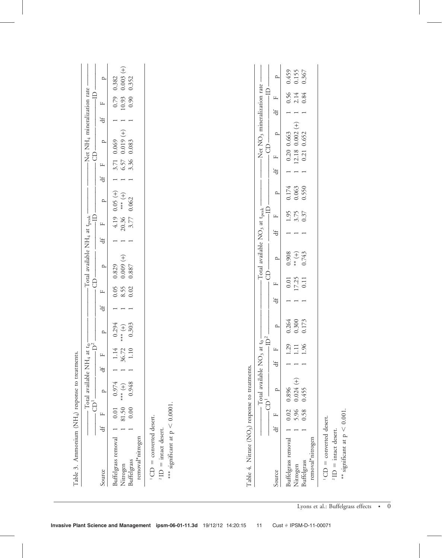| Buffelgrass removal<br>Nitrogen                                                                                                 | $\exists$  | $\overline{\text{CD}}^1$<br>0.00<br>81.50<br>0.01<br>щ | Total available NH <sub>4</sub> at $t_0$ <sup>-</sup><br>$\overline{D}^2$<br>0.948<br>0.974<br>$\left( \begin{matrix} + \end{matrix} \right)$<br>$\Omega$ | ₩ | 4 N O<br>36.7<br>$\Xi$<br>$\Box$<br>щ | 0.303<br>0.294<br>$\bigoplus_{**}$<br>$\overline{\phantom{a}}$ | Jf | <b>G</b><br>8.55<br>0.02<br>0.05<br>щ | Total available NH <sub>4</sub> at t <sub>peak</sub><br>$(+)$ (000.00<br>$\mathbf{p}$<br>0.829<br>0.887 |                                                | 20.36<br>$\mathbb{L}$<br>$\ddot{ }$ | 0.062<br>qı<br>4.19<br>3.77 | $(+)$ (0.05<br>$\left( +\right)$<br>$\Omega$ | $\ddot{ }$ | $\Theta$<br>3.36<br>6.57<br>3.71<br>щ | Net NH <sub>4</sub> mineralization rate<br>$0.019 (+)$<br>$\mathbf{p}$<br>0.069<br>0.083 | $\ddot{ }$ | $\Box$<br>0.90<br>10.93<br>0.79<br>Щ |
|---------------------------------------------------------------------------------------------------------------------------------|------------|--------------------------------------------------------|-----------------------------------------------------------------------------------------------------------------------------------------------------------|---|---------------------------------------|----------------------------------------------------------------|----|---------------------------------------|---------------------------------------------------------------------------------------------------------|------------------------------------------------|-------------------------------------|-----------------------------|----------------------------------------------|------------|---------------------------------------|------------------------------------------------------------------------------------------|------------|--------------------------------------|
| *** significant at $p < 0.0001$ .<br>$=$ converted desert.<br>$2$ ID = intact desert.<br>removal*nitrogen<br><b>Buffelgrass</b> |            |                                                        |                                                                                                                                                           |   |                                       |                                                                |    |                                       |                                                                                                         |                                                |                                     |                             |                                              |            |                                       |                                                                                          |            |                                      |
| Table 4. Nitrate (NO <sub>3</sub> ) response to treatments.                                                                     |            |                                                        | Total available NO <sub>3</sub>                                                                                                                           |   |                                       |                                                                |    |                                       |                                                                                                         | Total available $\rm{NO_3}$ at $\rm{t_{peak}}$ |                                     |                             |                                              |            |                                       | Net NO <sub>3</sub> mineralization rate                                                  |            |                                      |
|                                                                                                                                 | $\ddot{ }$ | щ                                                      | p<br>$\overline{\bigoplus}^1$                                                                                                                             |   | $\mathop{\hbox{\rm L}}$<br>Jf         | $\mathbf{p}$<br>$-\mathbb{ID}^2$ .<br>at $t_0$ -               |    | щ<br>$\exists$                        | 8                                                                                                       | ρ                                              | $\ddot{ }$                          | qı<br>щ                     | $\mathbf{p}$                                 | Jf         | $\mathbf{L}$                          | $\mathbf{p}$<br>8                                                                        |            | щ<br>$\ddot{d}$                      |
| removal*nitrogen<br>Buffelgrass removal<br>Buffelgrass<br>Nitrogen                                                              |            | 5.96<br>0.58<br>0.02                                   | Ŧ<br>0.024<br>0.896<br>0.455                                                                                                                              |   | 96<br>29<br>$\Xi$                     | 0.264<br>0.300<br>0.173                                        |    | 17.25                                 | $0.01\,$<br>0.11                                                                                        | 0.743<br>0.908<br>$\left( +\right)$            |                                     | $3.75$<br>0.37<br>1.95      | 0.063<br>0.174<br>0.550                      |            | 0.20<br>12.18<br>0.21                 | $0.002 (+)$<br>0.652<br>0.663                                                            |            | $0.56$<br>$2.14$<br>$0.84$           |
| converted desert.<br>$2$ ID = intact desert.<br>$\vert\vert$                                                                    |            |                                                        |                                                                                                                                                           |   |                                       |                                                                |    |                                       |                                                                                                         |                                                |                                     |                             |                                              |            |                                       |                                                                                          |            |                                      |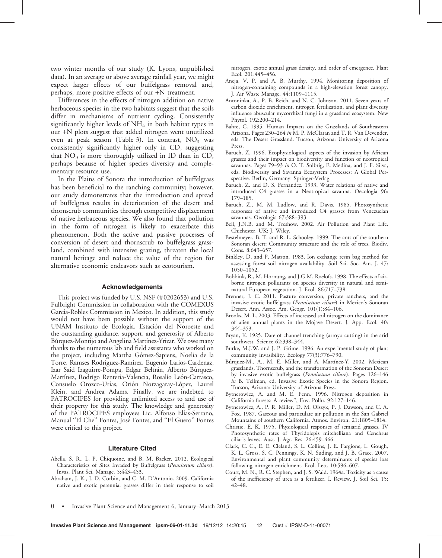two winter months of our study (K. Lyons, unpublished data). In an average or above average rainfall year, we might expect larger effects of our buffelgrass removal and, perhaps, more positive effects of our +N treatment.

Differences in the effects of nitrogen addition on native herbaceous species in the two habitats suggest that the soils differ in mechanisms of nutrient cycling. Consistently significantly higher levels of  $NH<sub>4</sub>$  in both habitat types in our +N plots suggest that added nitrogen went unutilized even at peak season (Table 3). In contrast,  $NO<sub>3</sub>$  was consistently significantly higher only in CD, suggesting that  $NO<sub>3</sub>$  is more thoroughly utilized in ID than in CD, perhaps because of higher species diversity and complementary resource use.

In the Plains of Sonora the introduction of buffelgrass has been beneficial to the ranching community; however, our study demonstrates that the introduction and spread of buffelgrass results in deterioration of the desert and thornscrub communities through competitive displacement of native herbaceous species. We also found that pollution in the form of nitrogen is likely to exacerbate this phenomenon. Both the active and passive processes of conversion of desert and thornscrub to buffelgrass grassland, combined with intensive grazing, threaten the local natural heritage and reduce the value of the region for alternative economic endeavors such as ecotourism.

#### Acknowledgements

This project was funded by U.S. NSF (#0202653) and U.S. Fulbright Commission in collaboration with the COMEXUS García-Robles Commission in Mexico. In addition, this study would not have been possible without the support of the UNAM Instituto de Ecología, Estación del Noroeste and the outstanding guidance, support, and generosity of Alberto But quez-Montijo and Angelina Martinez-Yrizar. We owe many thanks to the numerous lab and field assistants who worked on the project, including Martha Gómez-Sapiens, Noelia de la Torre, Ramses Rodrı´guez-Ramı´rez, Eugenio Larios-Cardenaz, Izar Said Izaguirre-Pompa, Edgar Beltrán, Alberto Búrquez-Martínez, Rodrígo Rentería-Valencia, Rosalío León-Carrasco, Consuelo Orozco-Urías, Orión Norzagaray-López, Laurel Klein, and Andrea Adams. Finally, we are indebted to PATROCIPES for providing unlimited access to and use of their property for this study. The knowledge and generosity of the PATROCIPES employees Lic. Alfonso Elías-Serrano, Manual "El Che" Fontes, José Fontes, and "El Guero" Fontes were critical to this project.

#### Literature Cited

- Abella, S. R., L. P. Chiquoine, and B. M. Backer. 2012. Ecological Characteristics of Sites Invaded by Buffelgrass (Pennisetum ciliare). Invas. Plant Sci. Manage. 5:443–453.
- Abraham, J. K., J. D. Corbin, and C. M. D'Antonio. 2009. California native and exotic perennial grasses differ in their response to soil

nitrogen, exotic annual grass density, and order of emergence. Plant Ecol. 201:445–456.

- Aneja, V. P. and A. B. Murthy. 1994. Monitoring deposition of nitrogen-containing compounds in a high-elevation forest canopy. J. Air Waste Manage. 44:1109–1115.
- Antoninka, A., P. B. Reich, and N. C. Johnson. 2011. Seven years of carbon dioxide enrichment, nitrogen fertilization, and plant diversity influence abuscular mycorrhizal fungi in a grassland ecosystem. New Phytol. 192:200–214.
- Bahre, C. 1995. Human Impacts on the Grasslands of Southeastern Arizona. Pages 230–264 in M. P. McClaran and T. R. Van Devender, eds. The Desert Grassland. Tucson, Arizona: University of Arizona Press.
- Baruch, Z. 1996. Ecophysiological aspects of the invasion by African grasses and their impact on biodiversity and function of neotropical savannas. Pages 79-93 in O. T. Solbrig, E. Medina, and J. F. Silva, eds. Biodiversity and Savanna Ecosystem Processes: A Global Perspective. Berlin, Germany: Springer-Verlag.
- Baruch, Z. and D. S. Fernandez. 1993. Water relations of native and introduced C4 grasses in a Neotropical savanna. Oecologia 96: 179–185.
- Baruch, Z., M. M. Ludlow, and R. Davis. 1985. Photosynthetic responses of native and introduced C4 grasses from Venezuelan savannas. Oecologia 67:388–393.
- Bell, J.N.B. and M. Treshow. 2002. Air Pollution and Plant Life. Chichester, UK: J. Wiley.
- Bestelmeyer, B. T. and R. L. Schooley. 1999. The ants of the southern Sonoran desert: Community structure and the role of trees. Biodiv. Cons. 8:643–657.
- Binkley, D. and P. Matson. 1983. Ion exchange resin bag method for assessing forest soil nitrogen availability. Soil Sci. Soc. Am. J. 47: 1050–1052.
- Bobbink, R., M. Hornung, and J.G.M. Roelofs. 1998. The effects of airborne nitrogen pollutants on species diversity in natural and seminatural European vegetation. J. Ecol. 86:717–738.
- Brenner, J. C. 2011. Pasture conversion, private ranchers, and the invasive exotic buffelgrass (Pennisetum ciliare) in Mexico's Sonoran Desert. Ann. Assoc. Am. Geogr. 101(1):84–106.
- Brooks, M. L. 2003. Effects of increased soil nitrogen on the dominance of alien annual plants in the Mojave Desert. J. App. Ecol. 40: 344–353.
- Bryan, K. 1925. Date of channel trenching (arroyo cutting) in the arid southwest. Science 62:338–344.
- Burke, M.J.W. and J. P. Grime. 1996. An experimental study of plant community invasibility. Ecology 77(3):776–790.
- Búrquez-M., A., M. E. Miller, and A. Martínez-Y. 2002. Mexican grasslands, Thornscrub, and the transformation of the Sonoran Desert by invasive exotic buffelgrass (Pennisetum ciliare). Pages 126–146 in B. Tellman, ed. Invasive Exotic Species in the Sonora Region. Tucson, Arizona: University of Arizona Press.
- Bytnerowicz, A. and M. E. Fenn. 1996. Nitrogen deposition in California forests: A review'', Env. Pollu. 92:127–146.
- Bytnerowicz, A., P. R. Miller, D. M. Olszyk, P. J. Dawson, and C. A. Fox. 1987. Gaseous and particulate air pollution in the San Gabriel Mountains of southern California. Atmos. Environ. 21:1805–1814.
- Christie, E. K. 1975. Physiological responses of semiarid grasses. IV Photosynthetic rates of Thyridolepis mitchelliana and Cenchrus ciliaris leaves. Aust. J. Agr. Res. 26:459–466.
- Clark, C. C., E. E. Cleland, S. L. Collins, J. E. Fargione, L. Gough, K. L. Gross, S. C. Pennings, K. N. Suding, and J. B. Grace. 2007. Environmental and plant community determinants of species loss following nitrogen enrichment. Ecol. Lett. 10:596–607.
- Court, M. N., R. C. Stephen, and J. S. Waid. 1964a. Toxicity as a cause of the inefficiency of urea as a fertilizer. I. Review. J. Soil Sci. 15: 42–48.

0 • Invasive Plant Science and Management 6, January–March 2013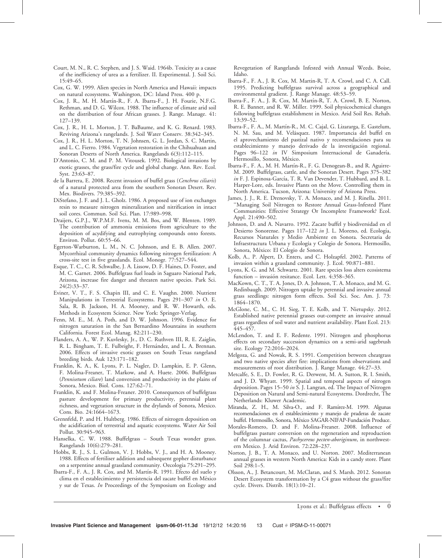- Court, M. N., R. C. Stephen, and J. S. Waid. 1964b. Toxicity as a cause of the inefficiency of urea as a fertilizer. II. Experimental. J. Soil Sci. 15:49–65.
- Cox, G. W. 1999. Alien species in North America and Hawaii: impacts on natural ecosystems. Washington, DC: Island Press. 400 p.
- Cox, J. R., M. H. Martín-R., F. A. Ibarra-F., J. H. Fourie, N.F.G. Rethman, and D. G. Wilcox. 1988. The influence of climate arid soil on the distribution of four African grasses. J. Range. Manage. 41: 127–139.
- Cox, J. R., H. L. Morton, J. T. BaBaume, and K. G. Renard. 1983. Reviving Arizona's rangelands. J. Soil Water Conserv. 38:342–345.
- Cox, J. R., H. L. Morton, T. N. Johnsen, G. L. Jordan, S. C. Martin, and L. C. Fierro. 1984. Vegetation restoration in the Chihuahuan and Sonoran Deserts of North America. Rangelands 6(3):112–115.
- D'Antonio, C. M. and P. M. Vitousek. 1992. Biological invasions by exotic grasses, the grass/fire cycle and global change. Ann. Rev. Ecol. Syst. 23:63–87.
- de la Barrera, E. 2008. Recent invasion of buffel grass (Cenchrus ciliaris) of a natural protected area from the southern Sonoran Desert. Rev. Mex. Biodivers. 79:385–392.
- DiStefano, J. F. and J. L. Gholz. 1986. A proposed use of ion exchanges resin to measure nitrogen mineralization and nitrification in intact soil cores. Commun. Soil Sci. Plan. 17:989–998.
- Draijers, G.P.J., W.P.M.F. Ivens, M. M. Bos, and W. Blenten. 1989. The contribution of ammonia emissions from agriculture to the deposition of acydifying and eutrophying compounds onto forests. Environ. Pollut. 60:55–66.
- Egerton-Warburton, L. M., N. C. Johnson, and E. B. Allen. 2007. Mycorrhizal community dynamics following nitrogen fertilization: A cross-site test in five grasslands. Ecol. Monogr. 77:527–544.
- Esque, T. C., C. R. Schwalbe, J. A. Lissow, D. F. Haines, D. Foster, and M. C. Garnet. 2006. Buffelgrass fuel loads in Saguaro National Park, Arizona, increase fire danger and threaten native species. Park Sci. 24(2):33–37.
- Eviner, V. T., F. S. Chapin III, and C. E. Vaughn. 2000. Nutrient Manipulations in Terrestrial Ecosystems. Pages 291–307 in O. E. Sala, R. B. Jackson, H. A. Mooney, and R. W. Howarth, eds. Methods in Ecosystem Science. New York: Springer-Verlag.
- Fenn, M. E., M. A. Poth, and D. W. Johnson. 1996. Evidence for nitrogen saturation in the San Bernardino Mountains in southern California. Forest Ecol. Manag. 82:211–230.
- Flanders, A. A., W. P. Kuvlesky, Jr., D. C. Ruthven III, R. E. Zaiglin, R. L. Bingham, T. E. Fulbright, F. Hernández, and L. A. Brennan. 2006. Effects of invasive exotic grasses on South Texas rangeland breeding birds. Auk 123:171–182.
- Franklin, K. A., K. Lyons, P. L. Nagler, D. Lampkin, E. P. Glenn, F. Molina-Freaner, T. Markow, and A. Huete. 2006. Buffelgrass (Pennisetum ciliare) land conversion and productivity in the plains of Sonora, Mexico. Biol. Cons. 127:62–71.
- Franklin, K. and F. Molina-Freaner. 2010. Consequences of buffelgrass pasture development for primary productivity, perennial plant richness, and vegetation structure in the drylands of Sonora, Mexico. Cons. Bio. 24:1664–1673.
- Grennfeld, P. and H. Hultberg. 1986. Effects of nitrogen deposition on the acidification of terrestrial and aquatic ecosystems. Water Air Soil Pollut. 30:945–963.
- Hanselka, C. W. 1988. Buffelgrass South Texas wonder grass. Rangelands 10(6):279–281.
- Hobbs, R. J., S. L. Gulmon, V. J. Hobbs, V. J., and H. A. Mooney. 1988. Effects of fertiliser addition and subsequent gopher disturbance on a serpentine annual grassland community. Oecologia 75:291–295.
- Ibarra-F., F. A., J. R. Cox, and M. Martín-R. 1991. Efecto del suelo y clima en el establecimiento y persistencia del zacate buffel en México y sur de Texas. In Proceedings of the Symposium on Ecology and

Revegetation of Rangelands Infested with Annual Weeds. Boise, Idaho.

- Ibarra-F., F. A., J. R. Cox, M. Martin-R, T. A. Crowl, and C. A. Call. 1995. Predicting buffelgrass survival across a geographical and environmental gradient. J. Range Manage. 48:53–59.
- Ibarra-F., F. A., J. R. Cox, M. Martín-R, T. A. Crowl, B. E. Norton, R. E. Banner, and R. W. Miller. 1999. Soil physicochemical changes following buffelgrass establishment in Mexico. Arid Soil Res. Rehab. 13:39–52.
- Ibarra-F., F. A., M. Martín-R., M. C. Cajal, G. Lizararga, E. Gastelum, N. M. Sau, and M. Velásquez. 1987. Importancia del buffel en el aprovechamiento del pastizal nativo y recomendaciones para su establecimiento y manejo derivado de la investigación regional. Pages 96–122 in IV Simposium Internacional de Ganadería. Hermosillo, Sonora, México.
- Ibarra-F., F. A., M. H. Martín-R., F. G. Denogean-B., and R. Aguirre-M. 2009. Buffelgrass, cattle, and the Sonoran Desert. Pages 375–382 in F. J. Espinosa-García, T. R. Van Devender, T. Hubbard, and B. L. Harper-Lore, eds. Invasive Plants on the Move. Controlling them in North America. Tucson, Arizona: University of Arizona Press.
- James, J. J., R. E. Drenovsky, T. A. Monaco, and M. J. Rinella. 2011. ''Managing Soil Nitrogen to Restore Annual Grass-Infested Plant Communities: Effective Strategy Or Incomplete Framework? Ecol. Appl. 21:490–502.
- Johnson, D. and A. Navarro. 1992. Zacate buffel y biodiversidad en el Desierto Sonorense. Pages 117-122 in J. L. Moreno, ed. Ecología, Recursos Naturales y Medio Ambiente en Sonora. Secretaria de Infraestructura Urbana y Ecología y Colegio de Sonora. Hermosillo, Sonora, México: El Colegio de Sonora.
- Kolb, A., P. Alpert, D. Enters, and C. Holzapfel. 2002. Patterns of invasion within a grassland community. J. Ecol. 90:871–881.
- Lyons, K. G. and M. Schwartz. 2001. Rare species loss alters ecosistema function – invasión resitance. Ecol. Lett. 4:358–365.
- MacKown, C. T., T. A. Jones, D. A. Johnson, T. A. Monaco, and M. G. Redinbaugh. 2009. Nitrogen uptake by perennial and invasive annual grass seedlings: nitrogen form effects. Soil Sci. Soc. Am. J. 73: 1864–1870.
- McGlone, C. M., C. H. Sieg, T. E. Kolb, and T. Nietupsky. 2012. Established native perennial grasses out-compete an invasive annual grass regardless of soil water and nutrient availability. Plant Ecol. 213: 445–457.
- McLendon, T. and E. F. Redente. 1991. Nitrogen and phosphorus effects on secondary succession dynamics on a semi-arid sagebrush site. Ecology 72:2016–2024.
- Melgoza, G. and Nowak, R. S. 1991. Competition between cheatgrass and two native species after fire: implications from observations and measurements of root distribution. J. Range Manage. 44:27–33.
- Metcalfe, S. E., D. Fowler, R. G. Derwent, M. A. Sutton, R. I. Smith, and J. D. Whyatt. 1999. Spatial and temporal aspects of nitrogen deposition. Pages 15-50 in S. J. Langran, ed. The Impact of Nitrogen Deposition on Natural and Semi-natural Ecosystems. Dordrecht, The Netherlands: Kluwer Academic.
- Miranda, Z. H., M. Silva-O., and F. Ramírez-M. 1999. Algunas recomendaciones en el establecimiento y manejo de praderas de zacate buffel. Hermosillo, Sonora, México SAGAR-NIFAP-Fundación Produce.
- Morales-Romero, D. and F. Molina-Freaner. 2008. Influence of buffelgrass pasture conversion on the regeneration and reproduction of the columnar cactus, Pachycereus pecten-aboriginum, in northwestern Mexico. J. Arid Environ. 72:228–237.
- Norton, J. B., T. A. Monaco, and U. Norton. 2007. Mediterranean annual grasses in western North America: Kids in a candy store. Plant Soil 298:1–5.
- Olsson, A., J. Betancourt, M. McClaran, and S. Marsh. 2012. Sonoran Desert Ecosystem transformation by a C4 grass without the grass/fire cycle. Divers. Distrib. 18(1):10–21.